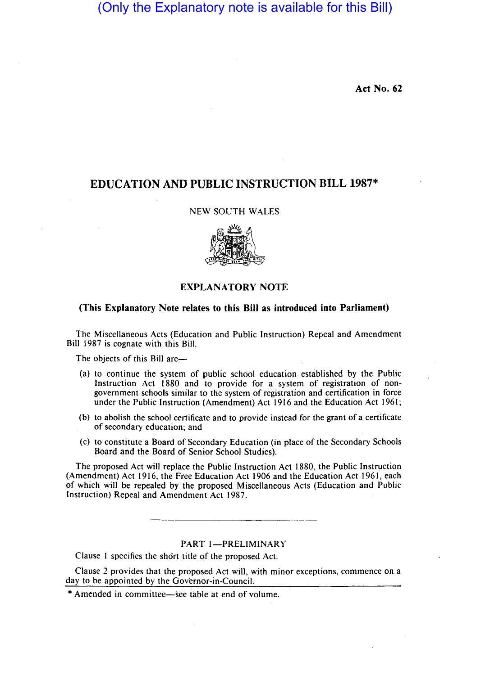(Only the Explanatory note is available for this Bill)

**Act No. 62** 

# **EDUCATION AND PUBLIC INSTRUCTION BILL 1987\***

## NEW SOUTH WALES



### **EXPLANATORY NOTE**

### **(This Explanatory Note relates to this Bill as introduced into Parliament)**

The Miscellaneous Acts (Education and Public Instruction) Repeal and Amendment Bill 1987 is cognate with this Bill.

The objects of this Bill are-

- (a) to continue the system of public school education established by the Public Instruction Act 1880 and to provide for a system of registration of nongovernment schools similar to the system of registration and certification in force under the Public Instruction (Amendment) Act 1916 and the Education Act 1961;
- (b) to abolish the school certificate and to provide instead for the grant of a certificate of secondary education; and
- (c) to constitute a Board of Secondary Education (in place of the Secondary Schools Board and the Board of Senior School Studies).

The proposed Act will replace the Public Instruction Act 1880, the Public Instruction (Amendment) Act 1916, the Free Education Act 1906 and the Education Act 1961, each of which will be repealed by the proposed Miscellaneous Acts (Education and Public Instruction) Repeal and Amendment Act 1987.

# PART 1-PRELIMINARY

Clause I specifies the short title of the proposed Act.

Clause 2 provides that the proposed Act will, with minor exceptions, commence on a day to be appointed by the Governor-in-Council.

<sup>\*</sup> Amended in committee-see table at end of volume.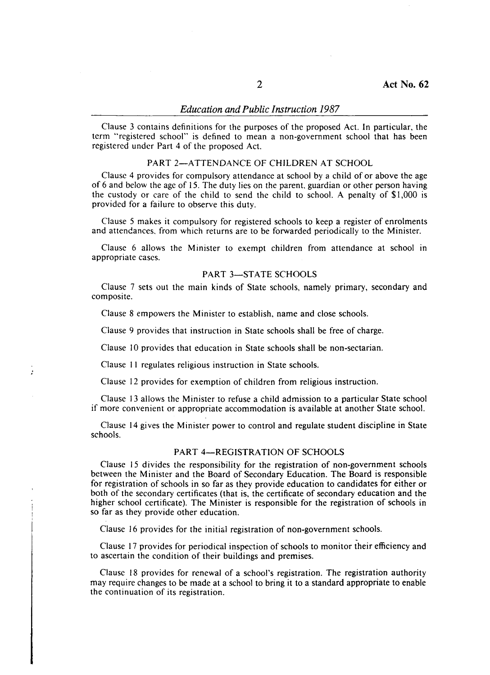Clause 3 contains definitions for the purposes of the proposed Act. In particular, the term "registered school" is defined to mean a non-government school that has been registered under Part 4 of the proposed Act.

### PART 2-ATTENDANCE OF CHILDREN AT SCHOOL

Clause 4 provides for compulsory attendance at school by a child of or above the age of 6 and below the age of 15. The duty lies on the parent. guardian or other person having the custody or care of the child to send the child to school. A penalty of \$1,000 is provided for a failure to observe this duty.

Clause 5 makes it compulsory for registered schools to keep a register of enrolments and attencances. from which returns are to be forwarded periodically to the Minister.

Clause 6 allows the Minister to exempt children from attendance at school in appropriate cases.

#### PART 3-STATE SCHOOLS

Clause 7 sets out the main kinds of State schools, namely primary, secondary and composite.

Clause 8 empowers the Minister to establish, name and close schools.

Clause 9 provides that instruction in State schools shall be free of charge.

Clause 10 provides that education in State schools shall be non-sectarian.

Clause 11 regulates religious instruction in State schools.

 $\mathbf{r}$ 

Clause 12 provides for exemption of children from religious instruction.

Clause 13 allows the Minister to refuse a child admission to a particular State school if more convenient or appropriate accommodation is available at another State school.

Clause 14 gives the Minister power to control and regulate student discipline in State schools.

### PART 4-REGISTRATION OF SCHOOLS

Clause 15 divides the responsibility for the registration of non-government schools between the Minister and the Board of Secondary Education. The Board is responsible for registration of schools in so far as they provide education to candidates for either or both of the secondary certificates (that is, the certificate of secondary education and the higher school certificate). The Minister is responsible for the registration of schools in so far as they provide other education.

Clause 16 provides for the initial registration of non-government schools.

Clause 17 provides for periodical inspection of schools to monitor their efficiency and to ascertain the condition of their buildings and premises.

Clause 18 provides for renewal of a school's registration. The registration authority may require changes to be made at a school to bring it to a standard appropriate to enable the continuation of its registration.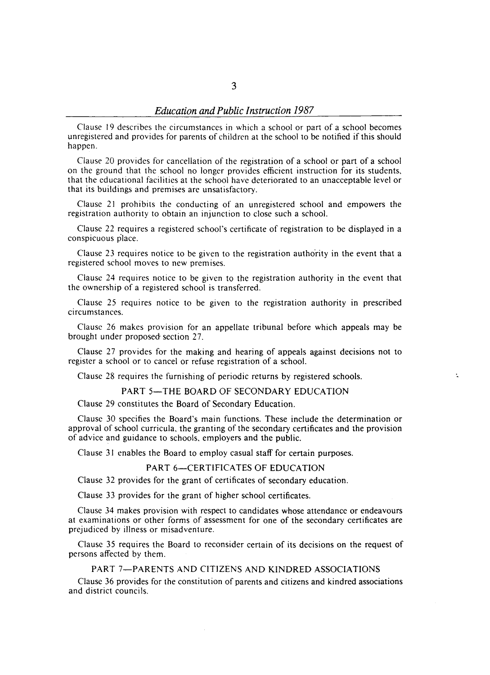Clause 19 describes the circumstances in which a school or part of a school becomes unregistered and provides for parents of children at the school to be notified if this should happen.

Clause 20 provides for cancellation of the registration of a school or part of a school on the ground that the school no longer provides efficient instruction for its students, that the educational facilities at the school have deteriorated to an unacceptable level or that its buildings and premises are unsatisfactory.

Clause 21 prohibits the conducting of an unregistered school and empowers the registration authority to obtain an injunction to close such a school.

Clause 22 requires a registered school's certificate of registration to be displayed in a conspicuous place.

Clause 23 requires notice to be given to the registration authority in the event that a registered school moves to new premises.

Clause 24 requires notice to be given to the registration authority in the event that the ownership of a registered school is transferred.

Clause 25 requires notice to be given to the registration authority in prescribed circumstances.

Clause 26 makes provision for an appellate tribunal before which appeals may be brought under proposed section 27.

Clause 27 provides for the making and hearing of appeals against decisions not to register a school or to cancel or refuse registration of a school.

÷

Clause 28 requires the furnishing of periodic returns by registered schools.

#### PART 5-THE BOARD OF SECONDARY EDUCATION

Clause 29 constitutes the Board of Secondary Education.

Clause 30 specifies the Board's main functions. These include the determination or approval of school curricula, the granting of the secondary certificates and the provision of advice and guidance to schools, employers and the public.

Clause 31 enables the Board to employ casual staff for certain purposes.

#### PART 6-CERTIFICATES OF EDUCATION

Clause 32 provides for the grant of certificates of secondary education.

Clause 33 provides for the grant of higher school certificates.

Clause 34 makes provision with respect to candidates whose attendance or endeavours at examinations or other forms of assessment for one of the secondary certificates are prejudiced by illness or misadventure.

Clause 3S requires the Board to reconsider certain of its decisions on the request of persons affected by them.

### PART 7-PARENTS AND CITIZENS AND KINDRED ASSOCIATIONS

Clause 36 provides for the constitution of parents and citizens and kindred associations and district councils.